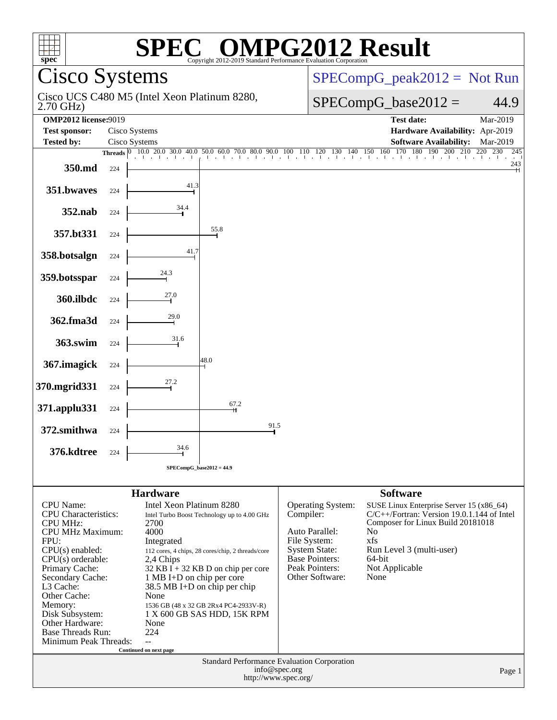| $\mathbb{C}^{\scriptscriptstyle \otimes}$ OMPG2012 Result<br>$spec^*$<br>Copyright 2012-2019 Standard Performance Evaluation Cornoration |                                |                                                                      |      |           |                                         |                                                                                                                                |                   |
|------------------------------------------------------------------------------------------------------------------------------------------|--------------------------------|----------------------------------------------------------------------|------|-----------|-----------------------------------------|--------------------------------------------------------------------------------------------------------------------------------|-------------------|
| Cisco Systems                                                                                                                            |                                |                                                                      |      |           | $SPECompG_peak2012 = Not Run$           |                                                                                                                                |                   |
| Cisco UCS C480 M5 (Intel Xeon Platinum 8280,<br>$2.70$ GHz)                                                                              |                                |                                                                      |      |           | $SPECompG_base2012 =$<br>44.9           |                                                                                                                                |                   |
| <b>OMP2012 license:9019</b>                                                                                                              |                                |                                                                      |      |           |                                         | <b>Test date:</b>                                                                                                              | Mar-2019          |
| <b>Test sponsor:</b><br><b>Tested by:</b>                                                                                                | Cisco Systems<br>Cisco Systems |                                                                      |      |           |                                         | Hardware Availability: Apr-2019<br><b>Software Availability:</b>                                                               | Mar-2019          |
|                                                                                                                                          |                                |                                                                      |      |           |                                         | 200<br>210                                                                                                                     | 220<br>230<br>245 |
| 350.md                                                                                                                                   | 224                            |                                                                      |      |           |                                         |                                                                                                                                | 243               |
| 351.bwaves                                                                                                                               | 224                            |                                                                      |      |           |                                         |                                                                                                                                |                   |
| 352.nab                                                                                                                                  | 224                            | $\frac{34.4}{1}$                                                     |      |           |                                         |                                                                                                                                |                   |
| 357.bt331                                                                                                                                | 224                            |                                                                      | 55.8 |           |                                         |                                                                                                                                |                   |
| 358.botsalgn                                                                                                                             | 224                            |                                                                      |      |           |                                         |                                                                                                                                |                   |
| 359.botsspar                                                                                                                             | 224                            | $\overset{24.3}{\rightarrow}$                                        |      |           |                                         |                                                                                                                                |                   |
| 360.ilbdc                                                                                                                                | 224                            | $\stackrel{27.0}{\rightarrow}$                                       |      |           |                                         |                                                                                                                                |                   |
| 362.fma3d                                                                                                                                | 224                            | $\stackrel{29.0}{\rightarrow}$                                       |      |           |                                         |                                                                                                                                |                   |
| 363.swim                                                                                                                                 | 224                            | 31.6                                                                 |      |           |                                         |                                                                                                                                |                   |
| 367. imagick                                                                                                                             | 224                            |                                                                      | 48.0 |           |                                         |                                                                                                                                |                   |
| 370.mgrid331                                                                                                                             | 224                            | $\overset{27.2}{\rightarrow}$                                        |      |           |                                         |                                                                                                                                |                   |
| 371.applu331                                                                                                                             | 224                            |                                                                      | 67.2 |           |                                         |                                                                                                                                |                   |
| 372.smithwa                                                                                                                              | 224                            |                                                                      | 91.5 |           |                                         |                                                                                                                                |                   |
| 376.kdtree                                                                                                                               | 224                            | 34.6                                                                 |      |           |                                         |                                                                                                                                |                   |
| $SPECompG_base2012 = 44.9$                                                                                                               |                                |                                                                      |      |           |                                         |                                                                                                                                |                   |
| <b>Software</b><br><b>Hardware</b>                                                                                                       |                                |                                                                      |      |           |                                         |                                                                                                                                |                   |
| <b>CPU</b> Name:<br><b>CPU</b> Characteristics:                                                                                          |                                | Intel Xeon Platinum 8280                                             |      | Compiler: | Operating System:                       | SUSE Linux Enterprise Server 15 (x86_64)<br>$C/C++/Fortran$ : Version 19.0.1.144 of Intel<br>Composer for Linux Build 20181018 |                   |
| <b>CPU MHz:</b>                                                                                                                          |                                | Intel Turbo Boost Technology up to 4.00 GHz<br>2700                  |      |           |                                         |                                                                                                                                |                   |
| <b>CPU MHz Maximum:</b><br>FPU:                                                                                                          |                                | 4000<br>Integrated                                                   |      |           | Auto Parallel:<br>File System:          | N <sub>0</sub><br>xfs                                                                                                          |                   |
| $CPU(s)$ enabled:                                                                                                                        |                                | 112 cores, 4 chips, 28 cores/chip, 2 threads/core                    |      |           | <b>System State:</b>                    | Run Level 3 (multi-user)                                                                                                       |                   |
| $CPU(s)$ orderable:<br>Primary Cache:                                                                                                    |                                | 2,4 Chips<br>$32$ KB I + 32 KB D on chip per core                    |      |           | <b>Base Pointers:</b><br>Peak Pointers: | 64-bit<br>Not Applicable                                                                                                       |                   |
| Secondary Cache:<br>L3 Cache:                                                                                                            |                                | 1 MB I+D on chip per core                                            |      |           | Other Software:                         | None                                                                                                                           |                   |
| Other Cache:                                                                                                                             |                                | 38.5 MB I+D on chip per chip<br>None                                 |      |           |                                         |                                                                                                                                |                   |
| Memory:<br>Disk Subsystem:                                                                                                               |                                | 1536 GB (48 x 32 GB 2Rx4 PC4-2933V-R)<br>1 X 600 GB SAS HDD, 15K RPM |      |           |                                         |                                                                                                                                |                   |
| Other Hardware:                                                                                                                          |                                | None                                                                 |      |           |                                         |                                                                                                                                |                   |
| <b>Base Threads Run:</b><br>Minimum Peak Threads:                                                                                        |                                | 224<br>$\overline{a}$                                                |      |           |                                         |                                                                                                                                |                   |
| Continued on next page<br>Standard Performance Evaluation Corporation                                                                    |                                |                                                                      |      |           |                                         |                                                                                                                                |                   |
| info@spec.org<br>Page 1<br>http://www.spec.org/                                                                                          |                                |                                                                      |      |           |                                         |                                                                                                                                |                   |
|                                                                                                                                          |                                |                                                                      |      |           |                                         |                                                                                                                                |                   |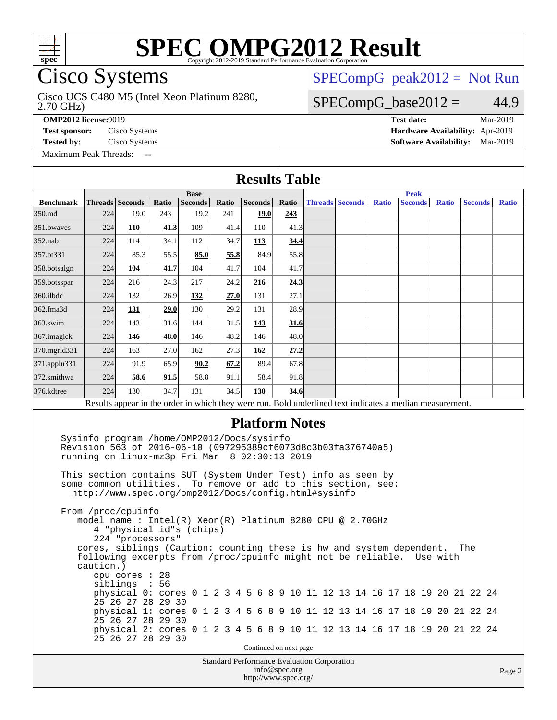

# **[SPEC OMPG2012 Result](http://www.spec.org/auto/omp2012/Docs/result-fields.html#SPECOMPG2012Result)**

# Cisco Systems

#### 2.70 GHz) Cisco UCS C480 M5 (Intel Xeon Platinum 8280,

 $SPECompG_peak2012 = Not Run$  $SPECompG_peak2012 = Not Run$ 

## $SPECompG_base2012 = 44.9$  $SPECompG_base2012 = 44.9$

[Maximum Peak Threads:](http://www.spec.org/auto/omp2012/Docs/result-fields.html#MaximumPeakThreads)

**[OMP2012 license:](http://www.spec.org/auto/omp2012/Docs/result-fields.html#OMP2012license)**9019 **[Test date:](http://www.spec.org/auto/omp2012/Docs/result-fields.html#Testdate)** Mar-2019 **[Test sponsor:](http://www.spec.org/auto/omp2012/Docs/result-fields.html#Testsponsor)** Cisco Systems **[Hardware Availability:](http://www.spec.org/auto/omp2012/Docs/result-fields.html#HardwareAvailability)** Apr-2019 **[Tested by:](http://www.spec.org/auto/omp2012/Docs/result-fields.html#Testedby)** Cisco Systems **[Software Availability:](http://www.spec.org/auto/omp2012/Docs/result-fields.html#SoftwareAvailability)** Mar-2019

### Standard Performance Evaluation Corporation **[Results Table](http://www.spec.org/auto/omp2012/Docs/result-fields.html#ResultsTable) [Benchmark](http://www.spec.org/auto/omp2012/Docs/result-fields.html#Benchmark) [Threads](http://www.spec.org/auto/omp2012/Docs/result-fields.html#Threads) [Seconds](http://www.spec.org/auto/omp2012/Docs/result-fields.html#Seconds) [Ratio](http://www.spec.org/auto/omp2012/Docs/result-fields.html#Ratio) [Seconds](http://www.spec.org/auto/omp2012/Docs/result-fields.html#Seconds) [Ratio](http://www.spec.org/auto/omp2012/Docs/result-fields.html#Ratio) [Seconds](http://www.spec.org/auto/omp2012/Docs/result-fields.html#Seconds) [Ratio](http://www.spec.org/auto/omp2012/Docs/result-fields.html#Ratio) Base [Threads](http://www.spec.org/auto/omp2012/Docs/result-fields.html#Threads) [Seconds](http://www.spec.org/auto/omp2012/Docs/result-fields.html#Seconds) [Ratio](http://www.spec.org/auto/omp2012/Docs/result-fields.html#Ratio) [Seconds](http://www.spec.org/auto/omp2012/Docs/result-fields.html#Seconds) [Ratio](http://www.spec.org/auto/omp2012/Docs/result-fields.html#Ratio) [Seconds](http://www.spec.org/auto/omp2012/Docs/result-fields.html#Seconds) [Ratio](http://www.spec.org/auto/omp2012/Docs/result-fields.html#Ratio) Peak** [350.md](http://www.spec.org/auto/omp2012/Docs/350.md.html) 224 19.0 243 19.2 241 **[19.0](http://www.spec.org/auto/omp2012/Docs/result-fields.html#Median) [243](http://www.spec.org/auto/omp2012/Docs/result-fields.html#Median)** [351.bwaves](http://www.spec.org/auto/omp2012/Docs/351.bwaves.html) 224 **[110](http://www.spec.org/auto/omp2012/Docs/result-fields.html#Median) [41.3](http://www.spec.org/auto/omp2012/Docs/result-fields.html#Median)** 109 41.4 110 41.3 [352.nab](http://www.spec.org/auto/omp2012/Docs/352.nab.html) 224 114 34.1 112 34.7 **[113](http://www.spec.org/auto/omp2012/Docs/result-fields.html#Median) [34.4](http://www.spec.org/auto/omp2012/Docs/result-fields.html#Median)** [357.bt331](http://www.spec.org/auto/omp2012/Docs/357.bt331.html) 224 85.3 55.5 **[85.0](http://www.spec.org/auto/omp2012/Docs/result-fields.html#Median) [55.8](http://www.spec.org/auto/omp2012/Docs/result-fields.html#Median)** 84.9 55.8 [358.botsalgn](http://www.spec.org/auto/omp2012/Docs/358.botsalgn.html) 224 **[104](http://www.spec.org/auto/omp2012/Docs/result-fields.html#Median) [41.7](http://www.spec.org/auto/omp2012/Docs/result-fields.html#Median)** 104 41.7 104 41.7 [359.botsspar](http://www.spec.org/auto/omp2012/Docs/359.botsspar.html) 224 216 24.3 217 24.2 **[216](http://www.spec.org/auto/omp2012/Docs/result-fields.html#Median) [24.3](http://www.spec.org/auto/omp2012/Docs/result-fields.html#Median)** [360.ilbdc](http://www.spec.org/auto/omp2012/Docs/360.ilbdc.html) 224 132 26.9 **[132](http://www.spec.org/auto/omp2012/Docs/result-fields.html#Median) [27.0](http://www.spec.org/auto/omp2012/Docs/result-fields.html#Median)** 131 27.1 [362.fma3d](http://www.spec.org/auto/omp2012/Docs/362.fma3d.html) 224 **[131](http://www.spec.org/auto/omp2012/Docs/result-fields.html#Median) [29.0](http://www.spec.org/auto/omp2012/Docs/result-fields.html#Median)** 130 29.2 131 28.9 [363.swim](http://www.spec.org/auto/omp2012/Docs/363.swim.html) 224 143 31.6 144 31.5 **[143](http://www.spec.org/auto/omp2012/Docs/result-fields.html#Median) [31.6](http://www.spec.org/auto/omp2012/Docs/result-fields.html#Median)** [367.imagick](http://www.spec.org/auto/omp2012/Docs/367.imagick.html) 224 **[146](http://www.spec.org/auto/omp2012/Docs/result-fields.html#Median) [48.0](http://www.spec.org/auto/omp2012/Docs/result-fields.html#Median)** 146 48.2 146 48.0 [370.mgrid331](http://www.spec.org/auto/omp2012/Docs/370.mgrid331.html) 224 163 27.0 162 27.3 **[162](http://www.spec.org/auto/omp2012/Docs/result-fields.html#Median) [27.2](http://www.spec.org/auto/omp2012/Docs/result-fields.html#Median)** [371.applu331](http://www.spec.org/auto/omp2012/Docs/371.applu331.html) 224 91.9 65.9 **[90.2](http://www.spec.org/auto/omp2012/Docs/result-fields.html#Median) [67.2](http://www.spec.org/auto/omp2012/Docs/result-fields.html#Median)** 89.4 67.8 [372.smithwa](http://www.spec.org/auto/omp2012/Docs/372.smithwa.html) 224 **[58.6](http://www.spec.org/auto/omp2012/Docs/result-fields.html#Median) [91.5](http://www.spec.org/auto/omp2012/Docs/result-fields.html#Median)** 58.8 91.1 58.4 91.8 [376.kdtree](http://www.spec.org/auto/omp2012/Docs/376.kdtree.html) 224 130 34.7 131 34.5 **[130](http://www.spec.org/auto/omp2012/Docs/result-fields.html#Median) [34.6](http://www.spec.org/auto/omp2012/Docs/result-fields.html#Median)** Results appear in the [order in which they were run.](http://www.spec.org/auto/omp2012/Docs/result-fields.html#RunOrder) Bold underlined text [indicates a median measurement.](http://www.spec.org/auto/omp2012/Docs/result-fields.html#Median) **[Platform Notes](http://www.spec.org/auto/omp2012/Docs/result-fields.html#PlatformNotes)** Sysinfo program /home/OMP2012/Docs/sysinfo Revision 563 of 2016-06-10 (097295389cf6073d8c3b03fa376740a5) running on linux-mz3p Fri Mar 8 02:30:13 2019 This section contains SUT (System Under Test) info as seen by some common utilities. To remove or add to this section, see: <http://www.spec.org/omp2012/Docs/config.html#sysinfo> From /proc/cpuinfo model name : Intel(R) Xeon(R) Platinum 8280 CPU @ 2.70GHz 4 "physical id"s (chips) 224 "processors" cores, siblings (Caution: counting these is hw and system dependent. The following excerpts from /proc/cpuinfo might not be reliable. Use with caution.) cpu cores : 28 siblings : 56 physical 0: cores 0 1 2 3 4 5 6 8 9 10 11 12 13 14 16 17 18 19 20 21 22 24 25 26 27 28 29 30 physical 1: cores 0 1 2 3 4 5 6 8 9 10 11 12 13 14 16 17 18 19 20 21 22 24 25 26 27 28 29 30 physical 2: cores 0 1 2 3 4 5 6 8 9 10 11 12 13 14 16 17 18 19 20 21 22 24 25 26 27 28 29 30 Continued on next page

#### [info@spec.org](mailto:info@spec.org) <http://www.spec.org/>

#### Page 2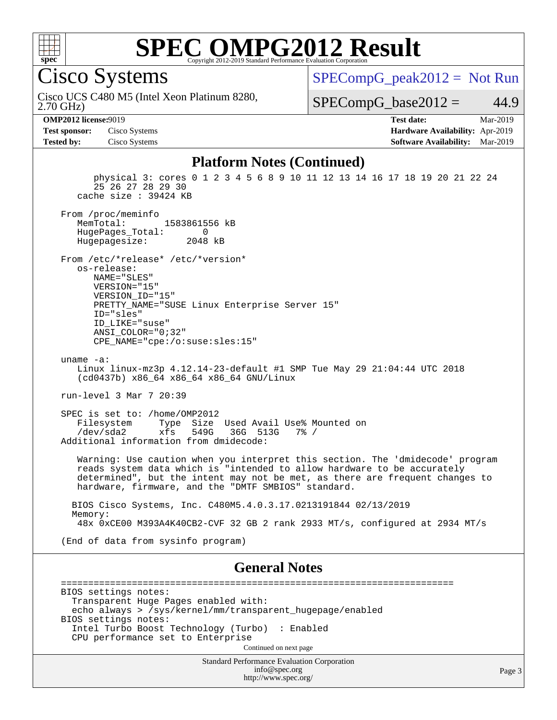

# **[SPEC OMPG2012 Result](http://www.spec.org/auto/omp2012/Docs/result-fields.html#SPECOMPG2012Result)**

Cisco Systems

[SPECompG\\_peak2012 =](http://www.spec.org/auto/omp2012/Docs/result-fields.html#SPECompGpeak2012) Not Run

2.70 GHz) Cisco UCS C480 M5 (Intel Xeon Platinum 8280,

 $SPECompG_base2012 = 44.9$  $SPECompG_base2012 = 44.9$ 

**[OMP2012 license:](http://www.spec.org/auto/omp2012/Docs/result-fields.html#OMP2012license)**9019 **[Test date:](http://www.spec.org/auto/omp2012/Docs/result-fields.html#Testdate)** Mar-2019 **[Test sponsor:](http://www.spec.org/auto/omp2012/Docs/result-fields.html#Testsponsor)** Cisco Systems **[Hardware Availability:](http://www.spec.org/auto/omp2012/Docs/result-fields.html#HardwareAvailability)** Apr-2019 **[Tested by:](http://www.spec.org/auto/omp2012/Docs/result-fields.html#Testedby)** Cisco Systems **[Software Availability:](http://www.spec.org/auto/omp2012/Docs/result-fields.html#SoftwareAvailability)** Mar-2019

### **[Platform Notes \(Continued\)](http://www.spec.org/auto/omp2012/Docs/result-fields.html#PlatformNotes)**

Standard Performance Evaluation Corporation [info@spec.org](mailto:info@spec.org) physical 3: cores 0 1 2 3 4 5 6 8 9 10 11 12 13 14 16 17 18 19 20 21 22 24 25 26 27 28 29 30 cache size : 39424 KB From /proc/meminfo<br>MemTotal: 1583861556 kB HugePages\_Total: 0<br>Hugepagesize: 2048 kB Hugepagesize: From /etc/\*release\* /etc/\*version\* os-release: NAME="SLES" VERSION="15" VERSION\_ID="15" PRETTY\_NAME="SUSE Linux Enterprise Server 15" ID="sles" ID\_LIKE="suse" ANSI\_COLOR="0;32" CPE\_NAME="cpe:/o:suse:sles:15" uname -a: Linux linux-mz3p 4.12.14-23-default #1 SMP Tue May 29 21:04:44 UTC 2018 (cd0437b) x86\_64 x86\_64 x86\_64 GNU/Linux run-level 3 Mar 7 20:39 SPEC is set to: /home/OMP2012 Filesystem Type Size Used Avail Use% Mounted on<br>
/dev/sda2 xfs 549G 36G 513G 7% / 36G 513G 7% / Additional information from dmidecode: Warning: Use caution when you interpret this section. The 'dmidecode' program reads system data which is "intended to allow hardware to be accurately determined", but the intent may not be met, as there are frequent changes to hardware, firmware, and the "DMTF SMBIOS" standard. BIOS Cisco Systems, Inc. C480M5.4.0.3.17.0213191844 02/13/2019 Memory: 48x 0xCE00 M393A4K40CB2-CVF 32 GB 2 rank 2933 MT/s, configured at 2934 MT/s (End of data from sysinfo program) **[General Notes](http://www.spec.org/auto/omp2012/Docs/result-fields.html#GeneralNotes)** ======================================================================== BIOS settings notes: Transparent Huge Pages enabled with: echo always > /sys/kernel/mm/transparent\_hugepage/enabled BIOS settings notes: Intel Turbo Boost Technology (Turbo) : Enabled CPU performance set to Enterprise Continued on next page

<http://www.spec.org/>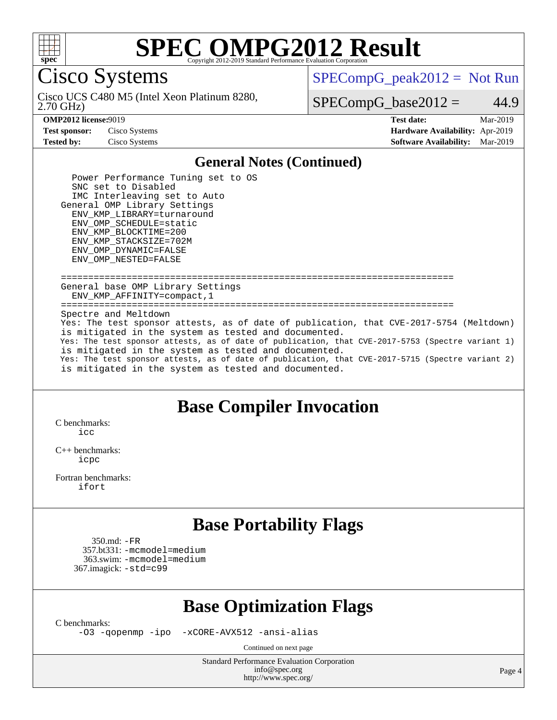

# **[SPEC OMPG2012 Result](http://www.spec.org/auto/omp2012/Docs/result-fields.html#SPECOMPG2012Result)**

Cisco Systems

 $SPECompG_peak2012 = Not Run$  $SPECompG_peak2012 = Not Run$ 

2.70 GHz) Cisco UCS C480 M5 (Intel Xeon Platinum 8280,

 $SPECompG_base2012 = 44.9$  $SPECompG_base2012 = 44.9$ 

**[Test sponsor:](http://www.spec.org/auto/omp2012/Docs/result-fields.html#Testsponsor)** Cisco Systems **[Hardware Availability:](http://www.spec.org/auto/omp2012/Docs/result-fields.html#HardwareAvailability)** Apr-2019

**[OMP2012 license:](http://www.spec.org/auto/omp2012/Docs/result-fields.html#OMP2012license)**9019 **[Test date:](http://www.spec.org/auto/omp2012/Docs/result-fields.html#Testdate)** Mar-2019 **[Tested by:](http://www.spec.org/auto/omp2012/Docs/result-fields.html#Testedby)** Cisco Systems **[Software Availability:](http://www.spec.org/auto/omp2012/Docs/result-fields.html#SoftwareAvailability)** Mar-2019

## **[General Notes \(Continued\)](http://www.spec.org/auto/omp2012/Docs/result-fields.html#GeneralNotes)**

 Power Performance Tuning set to OS SNC set to Disabled IMC Interleaving set to Auto General OMP Library Settings ENV\_KMP\_LIBRARY=turnaround ENV\_OMP\_SCHEDULE=static ENV\_KMP\_BLOCKTIME=200 ENV\_KMP\_STACKSIZE=702M ENV\_OMP\_DYNAMIC=FALSE ENV\_OMP\_NESTED=FALSE

 ======================================================================== General base OMP Library Settings ENV\_KMP\_AFFINITY=compact,1 ======================================================================== Spectre and Meltdown Yes: The test sponsor attests, as of date of publication, that CVE-2017-5754 (Meltdown) is mitigated in the system as tested and documented. Yes: The test sponsor attests, as of date of publication, that CVE-2017-5753 (Spectre variant 1) is mitigated in the system as tested and documented. Yes: The test sponsor attests, as of date of publication, that CVE-2017-5715 (Spectre variant 2) is mitigated in the system as tested and documented.

## **[Base Compiler Invocation](http://www.spec.org/auto/omp2012/Docs/result-fields.html#BaseCompilerInvocation)**

[C benchmarks](http://www.spec.org/auto/omp2012/Docs/result-fields.html#Cbenchmarks):  $i$ cc

[C++ benchmarks:](http://www.spec.org/auto/omp2012/Docs/result-fields.html#CXXbenchmarks) [icpc](http://www.spec.org/omp2012/results/res2019q2/omp2012-20190312-00166.flags.html#user_CXXbase_intel_icpc_2d899f8d163502b12eb4a60069f80c1c)

[Fortran benchmarks](http://www.spec.org/auto/omp2012/Docs/result-fields.html#Fortranbenchmarks): [ifort](http://www.spec.org/omp2012/results/res2019q2/omp2012-20190312-00166.flags.html#user_FCbase_intel_ifort_8a5e5e06b19a251bdeaf8fdab5d62f20)

## **[Base Portability Flags](http://www.spec.org/auto/omp2012/Docs/result-fields.html#BasePortabilityFlags)**

 350.md: [-FR](http://www.spec.org/omp2012/results/res2019q2/omp2012-20190312-00166.flags.html#user_baseFPORTABILITY350_md_f-FR) 357.bt331: [-mcmodel=medium](http://www.spec.org/omp2012/results/res2019q2/omp2012-20190312-00166.flags.html#user_basePORTABILITY357_bt331_f-mcmodel_3a41622424bdd074c4f0f2d2f224c7e5) 363.swim: [-mcmodel=medium](http://www.spec.org/omp2012/results/res2019q2/omp2012-20190312-00166.flags.html#user_basePORTABILITY363_swim_f-mcmodel_3a41622424bdd074c4f0f2d2f224c7e5) 367.imagick: [-std=c99](http://www.spec.org/omp2012/results/res2019q2/omp2012-20190312-00166.flags.html#user_baseCPORTABILITY367_imagick_f-std_2ec6533b6e06f1c4a6c9b78d9e9cde24)

# **[Base Optimization Flags](http://www.spec.org/auto/omp2012/Docs/result-fields.html#BaseOptimizationFlags)**

[C benchmarks](http://www.spec.org/auto/omp2012/Docs/result-fields.html#Cbenchmarks):

[-O3](http://www.spec.org/omp2012/results/res2019q2/omp2012-20190312-00166.flags.html#user_CCbase_f-O3) [-qopenmp](http://www.spec.org/omp2012/results/res2019q2/omp2012-20190312-00166.flags.html#user_CCbase_f-qopenmp) [-ipo](http://www.spec.org/omp2012/results/res2019q2/omp2012-20190312-00166.flags.html#user_CCbase_f-ipo_84062ab53814f613187d02344b8f49a7) [-xCORE-AVX512](http://www.spec.org/omp2012/results/res2019q2/omp2012-20190312-00166.flags.html#user_CCbase_f-xCORE-AVX512) [-ansi-alias](http://www.spec.org/omp2012/results/res2019q2/omp2012-20190312-00166.flags.html#user_CCbase_f-ansi-alias)

Continued on next page

Standard Performance Evaluation Corporation [info@spec.org](mailto:info@spec.org) <http://www.spec.org/>